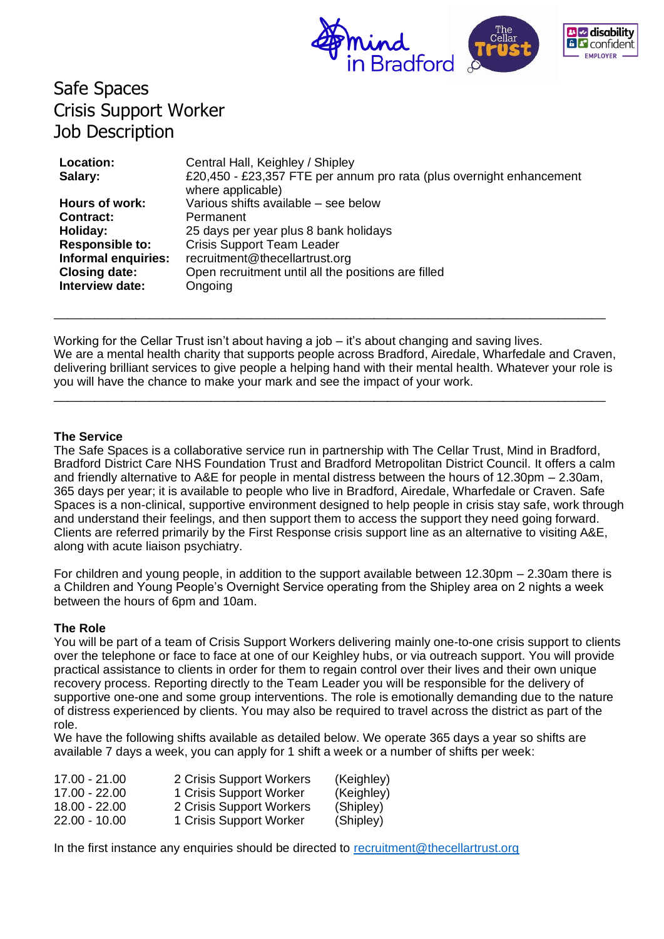

# Safe Spaces Crisis Support Worker Job Description

| Location:              | Central Hall, Keighley / Shipley                                                          |
|------------------------|-------------------------------------------------------------------------------------------|
| Salary:                | £20,450 - £23,357 FTE per annum pro rata (plus overnight enhancement<br>where applicable) |
| Hours of work:         | Various shifts available - see below                                                      |
| <b>Contract:</b>       | Permanent                                                                                 |
| Holiday:               | 25 days per year plus 8 bank holidays                                                     |
| <b>Responsible to:</b> | <b>Crisis Support Team Leader</b>                                                         |
| Informal enquiries:    | recruitment@thecellartrust.org                                                            |
| <b>Closing date:</b>   | Open recruitment until all the positions are filled                                       |
| Interview date:        | Ongoing                                                                                   |

Working for the Cellar Trust isn't about having a job – it's about changing and saving lives. We are a mental health charity that supports people across Bradford, Airedale, Wharfedale and Craven, delivering brilliant services to give people a helping hand with their mental health. Whatever your role is you will have the chance to make your mark and see the impact of your work.

\_\_\_\_\_\_\_\_\_\_\_\_\_\_\_\_\_\_\_\_\_\_\_\_\_\_\_\_\_\_\_\_\_\_\_\_\_\_\_\_\_\_\_\_\_\_\_\_\_\_\_\_\_\_\_\_\_\_\_\_\_\_\_\_\_\_\_\_\_\_\_\_\_\_\_\_\_\_\_\_\_

\_\_\_\_\_\_\_\_\_\_\_\_\_\_\_\_\_\_\_\_\_\_\_\_\_\_\_\_\_\_\_\_\_\_\_\_\_\_\_\_\_\_\_\_\_\_\_\_\_\_\_\_\_\_\_\_\_\_\_\_\_\_\_\_\_\_\_\_\_\_\_\_\_\_\_\_\_\_\_\_\_

#### **The Service**

The Safe Spaces is a collaborative service run in partnership with The Cellar Trust, Mind in Bradford, Bradford District Care NHS Foundation Trust and Bradford Metropolitan District Council. It offers a calm and friendly alternative to A&E for people in mental distress between the hours of 12.30pm – 2.30am, 365 days per year; it is available to people who live in Bradford, Airedale, Wharfedale or Craven. Safe Spaces is a non-clinical, supportive environment designed to help people in crisis stay safe, work through and understand their feelings, and then support them to access the support they need going forward. Clients are referred primarily by the First Response crisis support line as an alternative to visiting A&E, along with acute liaison psychiatry.

For children and young people, in addition to the support available between 12.30pm – 2.30am there is a Children and Young People's Overnight Service operating from the Shipley area on 2 nights a week between the hours of 6pm and 10am.

#### **The Role**

You will be part of a team of Crisis Support Workers delivering mainly one-to-one crisis support to clients over the telephone or face to face at one of our Keighley hubs, or via outreach support. You will provide practical assistance to clients in order for them to regain control over their lives and their own unique recovery process. Reporting directly to the Team Leader you will be responsible for the delivery of supportive one-one and some group interventions. The role is emotionally demanding due to the nature of distress experienced by clients. You may also be required to travel across the district as part of the role.

We have the following shifts available as detailed below. We operate 365 days a year so shifts are available 7 days a week, you can apply for 1 shift a week or a number of shifts per week:

| 17.00 - 21.00<br>17.00 - 22.00 | 2 Crisis Support Workers<br>1 Crisis Support Worker | (Keighley)<br>(Keighley) |
|--------------------------------|-----------------------------------------------------|--------------------------|
| 18.00 - 22.00                  | 2 Crisis Support Workers                            | (Shipley)                |
| $22.00 - 10.00$                | 1 Crisis Support Worker                             | (Shipley)                |

In the first instance any enquiries should be directed to [recruitment@thecellartrust.org](mailto:recruitment@thecellartrust.org.uk)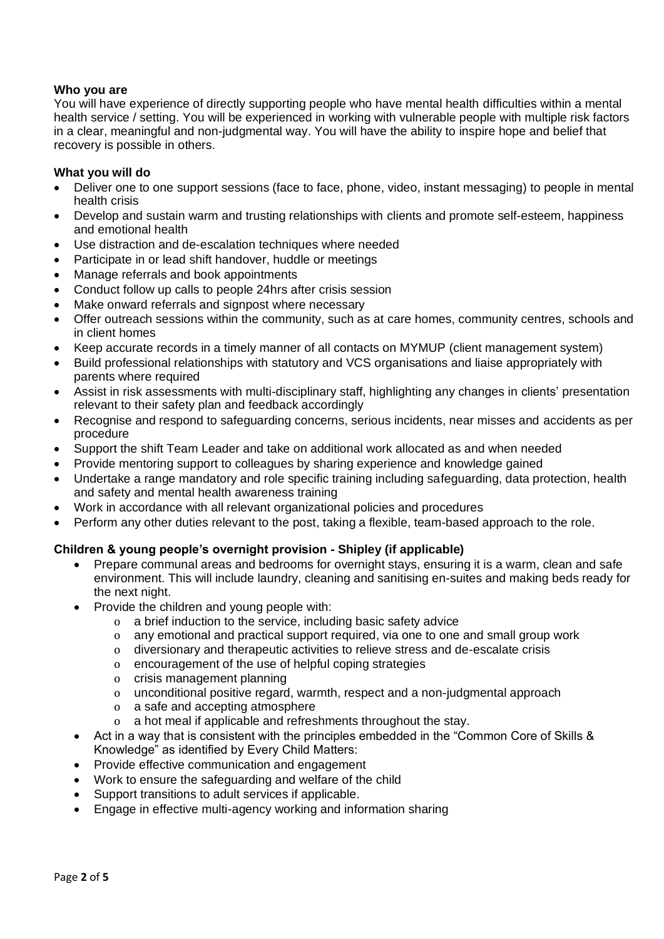#### **Who you are**

You will have experience of directly supporting people who have mental health difficulties within a mental health service / setting. You will be experienced in working with vulnerable people with multiple risk factors in a clear, meaningful and non-judgmental way. You will have the ability to inspire hope and belief that recovery is possible in others.

#### **What you will do**

- Deliver one to one support sessions (face to face, phone, video, instant messaging) to people in mental health crisis
- Develop and sustain warm and trusting relationships with clients and promote self-esteem, happiness and emotional health
- Use distraction and de-escalation techniques where needed
- Participate in or lead shift handover, huddle or meetings
- Manage referrals and book appointments
- Conduct follow up calls to people 24hrs after crisis session
- Make onward referrals and signpost where necessary
- Offer outreach sessions within the community, such as at care homes, community centres, schools and in client homes
- Keep accurate records in a timely manner of all contacts on MYMUP (client management system)
- Build professional relationships with statutory and VCS organisations and liaise appropriately with parents where required
- Assist in risk assessments with multi-disciplinary staff, highlighting any changes in clients' presentation relevant to their safety plan and feedback accordingly
- Recognise and respond to safeguarding concerns, serious incidents, near misses and accidents as per procedure
- Support the shift Team Leader and take on additional work allocated as and when needed
- Provide mentoring support to colleagues by sharing experience and knowledge gained
- Undertake a range mandatory and role specific training including safeguarding, data protection, health and safety and mental health awareness training
- Work in accordance with all relevant organizational policies and procedures
- Perform any other duties relevant to the post, taking a flexible, team-based approach to the role.

#### **Children & young people's overnight provision - Shipley (if applicable)**

- Prepare communal areas and bedrooms for overnight stays, ensuring it is a warm, clean and safe environment. This will include laundry, cleaning and sanitising en-suites and making beds ready for the next night.
- Provide the children and young people with:
	- o a brief induction to the service, including basic safety advice
	- o any emotional and practical support required, via one to one and small group work
	- o diversionary and therapeutic activities to relieve stress and de-escalate crisis
	- o encouragement of the use of helpful coping strategies
	- o crisis management planning
	- o unconditional positive regard, warmth, respect and a non-judgmental approach
	- o a safe and accepting atmosphere
	- o a hot meal if applicable and refreshments throughout the stay.
- Act in a way that is consistent with the principles embedded in the "Common Core of Skills & Knowledge" as identified by Every Child Matters:
- Provide effective communication and engagement
- Work to ensure the safeguarding and welfare of the child
- Support transitions to adult services if applicable.
- Engage in effective multi-agency working and information sharing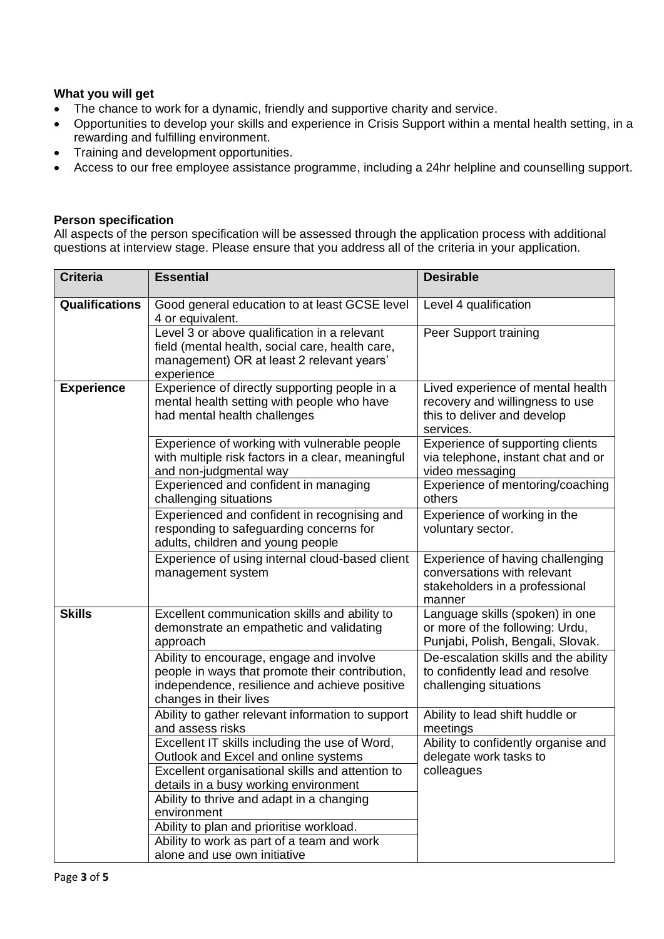### **What you will get**

- The chance to work for a dynamic, friendly and supportive charity and service.
- Opportunities to develop your skills and experience in Crisis Support within a mental health setting, in a rewarding and fulfilling environment.
- Training and development opportunities.
- Access to our free employee assistance programme, including a 24hr helpline and counselling support.

#### **Person specification**

All aspects of the person specification will be assessed through the application process with additional questions at interview stage. Please ensure that you address all of the criteria in your application.

| <b>Criteria</b>   | <b>Essential</b>                                                                                                                                                                                                                 | <b>Desirable</b>                                                                                                 |
|-------------------|----------------------------------------------------------------------------------------------------------------------------------------------------------------------------------------------------------------------------------|------------------------------------------------------------------------------------------------------------------|
| Qualifications    | Good general education to at least GCSE level<br>4 or equivalent.                                                                                                                                                                | Level 4 qualification                                                                                            |
|                   | Level 3 or above qualification in a relevant<br>field (mental health, social care, health care,<br>management) OR at least 2 relevant years'<br>experience                                                                       | Peer Support training                                                                                            |
| <b>Experience</b> | Experience of directly supporting people in a<br>mental health setting with people who have<br>had mental health challenges                                                                                                      | Lived experience of mental health<br>recovery and willingness to use<br>this to deliver and develop<br>services. |
|                   | Experience of working with vulnerable people<br>with multiple risk factors in a clear, meaningful<br>and non-judgmental way                                                                                                      | Experience of supporting clients<br>via telephone, instant chat and or<br>video messaging                        |
|                   | Experienced and confident in managing<br>challenging situations                                                                                                                                                                  | Experience of mentoring/coaching<br>others                                                                       |
|                   | Experienced and confident in recognising and<br>responding to safeguarding concerns for<br>adults, children and young people                                                                                                     | Experience of working in the<br>voluntary sector.                                                                |
|                   | Experience of using internal cloud-based client<br>management system                                                                                                                                                             | Experience of having challenging<br>conversations with relevant<br>stakeholders in a professional<br>manner      |
| <b>Skills</b>     | Excellent communication skills and ability to<br>demonstrate an empathetic and validating<br>approach                                                                                                                            | Language skills (spoken) in one<br>or more of the following: Urdu,<br>Punjabi, Polish, Bengali, Slovak.          |
|                   | Ability to encourage, engage and involve<br>people in ways that promote their contribution,<br>independence, resilience and achieve positive<br>changes in their lives                                                           | De-escalation skills and the ability<br>to confidently lead and resolve<br>challenging situations                |
|                   | Ability to gather relevant information to support<br>and assess risks                                                                                                                                                            | Ability to lead shift huddle or<br>meetings                                                                      |
|                   | Excellent IT skills including the use of Word,<br>Outlook and Excel and online systems<br>Excellent organisational skills and attention to<br>details in a busy working environment<br>Ability to thrive and adapt in a changing | Ability to confidently organise and<br>delegate work tasks to<br>colleagues                                      |
|                   | environment<br>Ability to plan and prioritise workload.                                                                                                                                                                          |                                                                                                                  |
|                   | Ability to work as part of a team and work<br>alone and use own initiative                                                                                                                                                       |                                                                                                                  |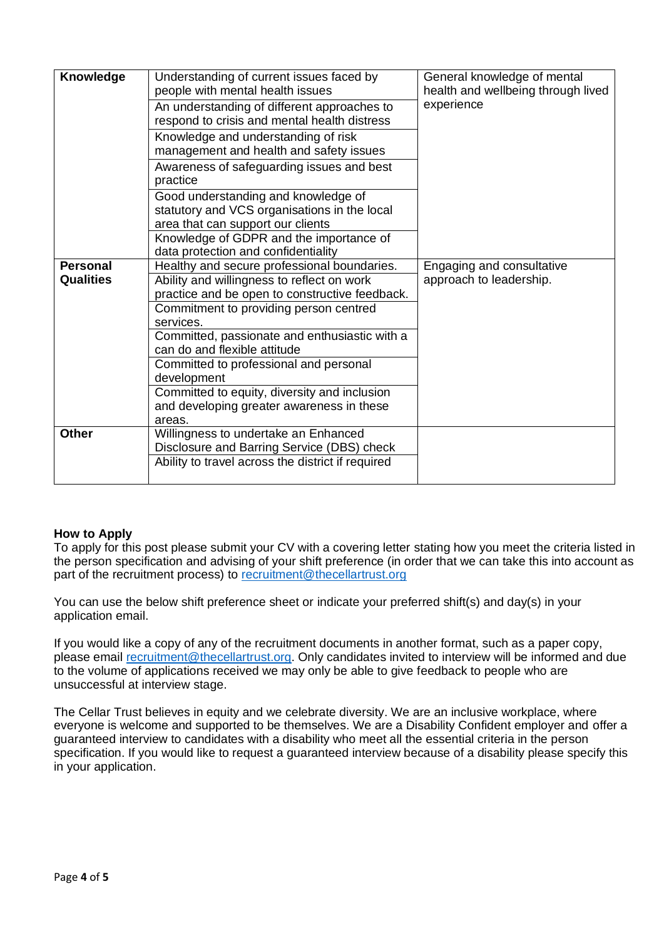| Knowledge        | Understanding of current issues faced by<br>people with mental health issues                                             | General knowledge of mental<br>health and wellbeing through lived |
|------------------|--------------------------------------------------------------------------------------------------------------------------|-------------------------------------------------------------------|
|                  | An understanding of different approaches to<br>respond to crisis and mental health distress                              | experience                                                        |
|                  | Knowledge and understanding of risk<br>management and health and safety issues                                           |                                                                   |
|                  | Awareness of safeguarding issues and best<br>practice                                                                    |                                                                   |
|                  | Good understanding and knowledge of<br>statutory and VCS organisations in the local<br>area that can support our clients |                                                                   |
|                  | Knowledge of GDPR and the importance of<br>data protection and confidentiality                                           |                                                                   |
| <b>Personal</b>  | Healthy and secure professional boundaries.                                                                              | Engaging and consultative                                         |
| <b>Qualities</b> | Ability and willingness to reflect on work                                                                               | approach to leadership.                                           |
|                  | practice and be open to constructive feedback.                                                                           |                                                                   |
|                  | Commitment to providing person centred<br>services.                                                                      |                                                                   |
|                  | Committed, passionate and enthusiastic with a<br>can do and flexible attitude                                            |                                                                   |
|                  | Committed to professional and personal<br>development                                                                    |                                                                   |
|                  | Committed to equity, diversity and inclusion<br>and developing greater awareness in these<br>areas.                      |                                                                   |
| <b>Other</b>     | Willingness to undertake an Enhanced                                                                                     |                                                                   |
|                  | Disclosure and Barring Service (DBS) check                                                                               |                                                                   |
|                  | Ability to travel across the district if required                                                                        |                                                                   |

#### **How to Apply**

To apply for this post please submit your CV with a covering letter stating how you meet the criteria listed in the person specification and advising of your shift preference (in order that we can take this into account as part of the recruitment process) to [recruitment@thecellartrust.org](mailto:recruitment@thecellartrust.org)

You can use the below shift preference sheet or indicate your preferred shift(s) and day(s) in your application email.

If you would like a copy of any of the recruitment documents in another format, such as a paper copy, please email [recruitment@thecellartrust.org.](mailto:recruitment@thecellartrust.org) Only candidates invited to interview will be informed and due to the volume of applications received we may only be able to give feedback to people who are unsuccessful at interview stage.

The Cellar Trust believes in equity and we celebrate diversity. We are an inclusive workplace, where everyone is welcome and supported to be themselves. We are a Disability Confident employer and offer a guaranteed interview to candidates with a disability who meet all the essential criteria in the person specification. If you would like to request a guaranteed interview because of a disability please specify this in your application.